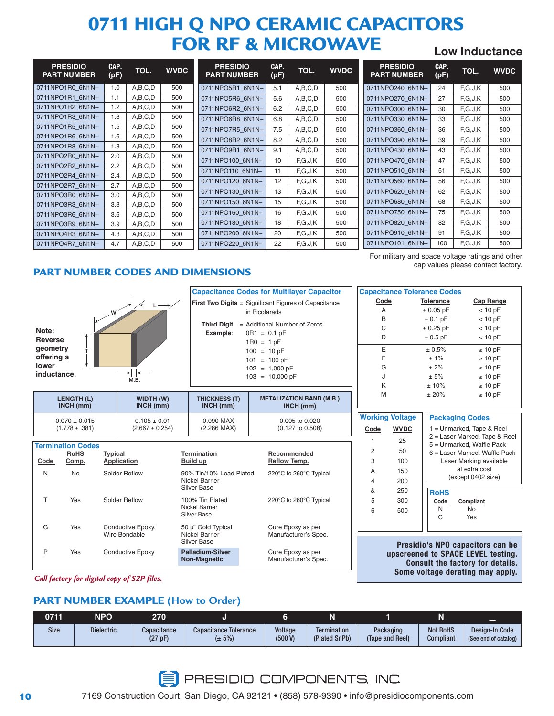# **0711 HIGH Q NPO CERAMIC CAPACITORS FOR RF & MICROWAVE Low Inductance**

| <b>PRESIDIO</b><br><b>PART NUMBER</b> | CAP.<br>(pF) | TOL.    | <b>WVDC</b> |
|---------------------------------------|--------------|---------|-------------|
| 0711NPO1R0 6N1N-                      | 1.0          | A,B,C,D | 500         |
| 0711NPO1R1 6N1N-                      | 1.1          | A,B,C,D | 500         |
| 0711NPO1R2 6N1N-                      | 1.2          | A,B,C,D | 500         |
| 0711NPO1R3 6N1N-                      | 1.3          | A,B,C,D | 500         |
| 0711NPO1R5 6N1N-                      | 1.5          | A,B,C,D | 500         |
| 0711NPO1R6 6N1N-                      | 1.6          | A,B,C,D | 500         |
| 0711NPO1R8 6N1N-                      | 1.8          | A,B,C,D | 500         |
| 0711NPO2R0 6N1N-                      | 2.0          | A,B,C,D | 500         |
| 0711NPO2R2 6N1N-                      | 2.2          | A,B,C,D | 500         |
| 0711NPO2R4 6N1N-                      | 2.4          | A,B,C,D | 500         |
| 0711NPO2R7 6N1N-                      | 2.7          | A,B,C,D | 500         |
| 0711NPO3R0 6N1N-                      | 3.0          | A,B,C,D | 500         |
| 0711NPO3R3 6N1N-                      | 3.3          | A,B,C,D | 500         |
| 0711NPO3R6 6N1N-                      | 3.6          | A,B,C,D | 500         |
| 0711NPO3R9 6N1N-                      | 3.9          | A,B,C,D | 500         |
| 0711NPO4R3 6N1N-                      | 4.3          | A,B,C,D | 500         |
| 0711NPO4R7 6N1N-                      | 4.7          | A,B,C,D | 500         |

| <b>PRESIDIO</b><br><b>PART NUMBER</b> | CAP.<br>(pF) | TOL.    | <b>WVDC</b> |
|---------------------------------------|--------------|---------|-------------|
| 0711NPO5R1 6N1N-                      | 5.1          | A,B,C,D | 500         |
| 0711NPO5R6 6N1N-                      | 5.6          | A,B,C,D | 500         |
| 0711NPO6R2 6N1N-                      | 6.2          | A,B,C,D | 500         |
| 0711NPO6R8 6N1N-                      | 6.8          | A,B,C,D | 500         |
| 0711NPO7R5 6N1N-                      | 7.5          | A,B,C,D | 500         |
| 0711NPO8R2 6N1N-                      | 8.2          | A,B,C,D | 500         |
| 0711NPO9R1 6N1N-                      | 9.1          | A,B,C,D | 500         |
| 0711NPO100 6N1N-                      | 10           | F.G.J.K | 500         |
| 0711NPO110_6N1N-                      | 11           | F.G.J.K | 500         |
| 0711NPO120 6N1N-                      | 12           | F.G.J.K | 500         |
| 0711NPO130 6N1N-                      | 13           | F.G.J.K | 500         |
| 0711NPO150 6N1N-                      | 15           | F.G.J.K | 500         |
| 0711NPO160 6N1N-                      | 16           | F.G.J.K | 500         |
| 0711NPO180 6N1N-                      | 18           | F.G.J.K | 500         |
| 0711NPO200 6N1N-                      | 20           | F.G.J.K | 500         |
| 0711NPO220 6N1N-                      | 22           | F.G.J.K | 500         |

| <b>PRESIDIO</b><br><b>PART NUMBER</b> | CAP.<br>(pF) | TOL.    | <b>WVDC</b> |
|---------------------------------------|--------------|---------|-------------|
| 0711NPO240 6N1N-                      | 24           | F.G.J.K | 500         |
| 0711NPO270 6N1N-                      | 27           | F.G.J.K | 500         |
| 0711NPO300 6N1N-                      | 30           | F.G.J.K | 500         |
| 0711NPO330 6N1N-                      | 33           | F.G.J.K | 500         |
| 0711NPO360 6N1N-                      | 36           | F.G.J.K | 500         |
| 0711NPO390 6N1N-                      | 39           | F.G.J.K | 500         |
| 0711NPO430 6N1N-                      | 43           | F.G.J.K | 500         |
| 0711NPO470 6N1N-                      | 47           | F,G,J,K | 500         |
| 0711NPO510 6N1N-                      | 51           | F.G.J.K | 500         |
| 0711NPO560 6N1N-                      | 56           | F.G.J.K | 500         |
| 0711NPO620 6N1N-                      | 62           | F,G,J,K | 500         |
| 0711NPO680 6N1N-                      | 68           | F.G.J.K | 500         |
| 0711NPO750 6N1N-                      | 75           | F.G.J.K | 500         |
| 0711NPO820 6N1N-                      | 82           | F.G.J.K | 500         |
| 0711NPO910 6N1N-                      | 91           | F.G.J.K | 500         |
| 0711NPO101 6N1N-                      | 100          | F.G.J.K | 500         |

For military and space voltage ratings and other

cap values please contact factory.

**PART NUMBER CODES AND DIMENSIONS**



| N | No. | Solder Reflow                      | 90% Tin/10% Lead Plated<br>Nickel Barrier<br>Silver Base | 220°C to 260°C Typical                    |
|---|-----|------------------------------------|----------------------------------------------------------|-------------------------------------------|
|   | Yes | Solder Reflow                      | 100% Tin Plated<br>Nickel Barrier<br>Silver Base         | 220°C to 260°C Typical                    |
| G | Yes | Conductive Epoxy,<br>Wire Bondable | 50 µ" Gold Typical<br>Nickel Barrier<br>Silver Base      | Cure Epoxy as per<br>Manufacturer's Spec. |
| P | Yes | Conductive Epoxy                   | <b>Palladium-Silver</b><br>Non-Magnetic                  | Cure Epoxy as per<br>Manufacturer's Spec. |

**Presidio's NPO capacitors can be upscreened to SPACE LEVEL testing. Consult the factory for details. Some voltage derating may apply.**

**Code Compliant** N No C Yes

5 300 6 500

*Call factory for digital copy of S2P files.*

### **PART NUMBER EXAMPLE (How to Order)**

| 0711        | NPO               | 270                    |                                             |                           | N                                   |                              | м                                   | ━                                      |
|-------------|-------------------|------------------------|---------------------------------------------|---------------------------|-------------------------------------|------------------------------|-------------------------------------|----------------------------------------|
| <b>Size</b> | <b>Dielectric</b> | Capacitance<br>(27 pF) | <b>Capacitance Tolerance</b><br>$(\pm 5\%)$ | <b>Voltage</b><br>(500 V) | <b>Termination</b><br>(Plated SnPb) | Packaging<br>(Tape and Reel) | <b>Not RoHS</b><br><b>Compliant</b> | Design-In Code<br>(See end of catalog) |